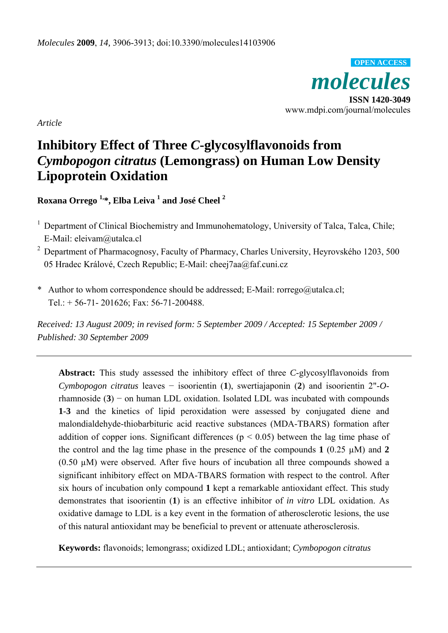

*Article*

# **Inhibitory Effect of Three** *C***-glycosylflavonoids from**  *Cymbopogon citratus* **(Lemongrass) on Human Low Density Lipoprotein Oxidation**

**Roxana Orrego 1,\*, Elba Leiva 1 and José Cheel <sup>2</sup>**

- <sup>1</sup> Department of Clinical Biochemistry and Immunohematology, University of Talca, Talca, Chile; E-Mail: eleivam@utalca.cl
- 2 Department of Pharmacognosy, Faculty of Pharmacy, Charles University, Heyrovského 1203, 500 05 Hradec Králové, Czech Republic; E-Mail: cheej7aa@faf.cuni.cz
- \* Author to whom correspondence should be addressed; E-Mail: rorrego@utalca.cl; Tel.: + 56-71- 201626; Fax: 56-71-200488.

*Received: 13 August 2009; in revised form: 5 September 2009 / Accepted: 15 September 2009 / Published: 30 September 2009* 

**Abstract:** This study assessed the inhibitory effect of three *C*-glycosylflavonoids from *Cymbopogon citratus* leaves − isoorientin (**1**), swertiajaponin (**2**) and isoorientin 2"-*O*rhamnoside (**3**) − on human LDL oxidation. Isolated LDL was incubated with compounds **1**-**3** and the kinetics of lipid peroxidation were assessed by conjugated diene and malondialdehyde-thiobarbituric acid reactive substances (MDA-TBARS) formation after addition of copper ions. Significant differences ( $p < 0.05$ ) between the lag time phase of the control and the lag time phase in the presence of the compounds  $1$  (0.25  $\mu$ M) and 2  $(0.50 \mu M)$  were observed. After five hours of incubation all three compounds showed a significant inhibitory effect on MDA-TBARS formation with respect to the control. After six hours of incubation only compound **1** kept a remarkable antioxidant effect. This study demonstrates that isoorientin (**1**) is an effective inhibitor of *in vitro* LDL oxidation. As oxidative damage to LDL is a key event in the formation of atherosclerotic lesions, the use of this natural antioxidant may be beneficial to prevent or attenuate atherosclerosis.

**Keywords:** flavonoids; lemongrass; oxidized LDL; antioxidant; *Cymbopogon citratus*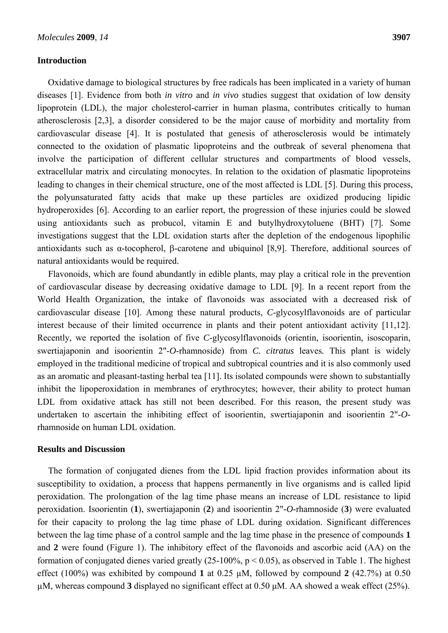#### **Introduction**

Oxidative damage to biological structures by free radicals has been implicated in a variety of human diseases [1]. Evidence from both *in vitro* and *in vivo* studies suggest that oxidation of low density lipoprotein (LDL), the major cholesterol-carrier in human plasma, contributes critically to human atherosclerosis [2,3], a disorder considered to be the major cause of morbidity and mortality from cardiovascular disease [4]. It is postulated that genesis of atherosclerosis would be intimately connected to the oxidation of plasmatic lipoproteins and the outbreak of several phenomena that involve the participation of different cellular structures and compartments of blood vessels, extracellular matrix and circulating monocytes. In relation to the oxidation of plasmatic lipoproteins leading to changes in their chemical structure, one of the most affected is LDL [5]. During this process, the polyunsaturated fatty acids that make up these particles are oxidized producing lipidic hydroperoxides [6]. According to an earlier report, the progression of these injuries could be slowed using antioxidants such as probucol, vitamin E and butylhydroxytoluene (BHT) [7]. Some investigations suggest that the LDL oxidation starts after the depletion of the endogenous lipophilic antioxidants such as α-tocopherol, β-carotene and ubiquinol [8,9]. Therefore, additional sources of natural antioxidants would be required.

Flavonoids, which are found abundantly in edible plants, may play a critical role in the prevention of cardiovascular disease by decreasing oxidative damage to LDL [9]. In a recent report from the World Health Organization, the intake of flavonoids was associated with a decreased risk of cardiovascular disease [10]. Among these natural products, *C*-glycosylflavonoids are of particular interest because of their limited occurrence in plants and their potent antioxidant activity [11,12]. Recently, we reported the isolation of five *C*-glycosylflavonoids (orientin, isoorientin, isoscoparin, swertiajaponin and isoorientin 2"-*O*-rhamnoside) from *C. citratus* leaves*.* This plant is widely employed in the traditional medicine of tropical and subtropical countries and it is also commonly used as an aromatic and pleasant-tasting herbal tea [11]. Its isolated compounds were shown to substantially inhibit the lipoperoxidation in membranes of erythrocytes; however, their ability to protect human LDL from oxidative attack has still not been described. For this reason, the present study was undertaken to ascertain the inhibiting effect of isoorientin, swertiajaponin and isoorientin 2"-*O*rhamnoside on human LDL oxidation.

## **Results and Discussion**

The formation of conjugated dienes from the LDL lipid fraction provides information about its susceptibility to oxidation, a process that happens permanently in live organisms and is called lipid peroxidation. The prolongation of the lag time phase means an increase of LDL resistance to lipid peroxidation. Isoorientin (**1**), swertiajaponin (**2**) and isoorientin 2"-*O*-rhamnoside (**3**) were evaluated for their capacity to prolong the lag time phase of LDL during oxidation. Significant differences between the lag time phase of a control sample and the lag time phase in the presence of compounds **1** and **2** were found (Figure 1). The inhibitory effect of the flavonoids and ascorbic acid (AA) on the formation of conjugated dienes varied greatly (25-100%,  $p < 0.05$ ), as observed in Table 1. The highest effect (100%) was exhibited by compound **1** at 0.25 µM, followed by compound **2** (42.7%) at 0.50 µM, whereas compound **3** displayed no significant effect at 0.50 μM. AA showed a weak effect (25%).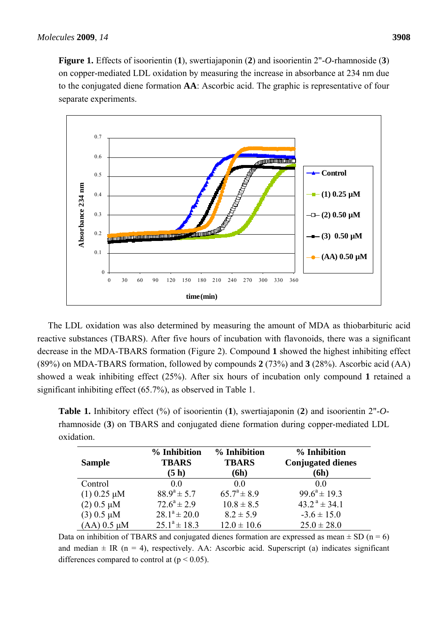

The LDL oxidation was also determined by measuring the amount of MDA as thiobarbituric acid reactive substances (TBARS). After five hours of incubation with flavonoids, there was a significant decrease in the MDA-TBARS formation (Figure 2). Compound **1** showed the highest inhibiting effect (89%) on MDA-TBARS formation, followed by compounds **2** (73%) and **3** (28%). Ascorbic acid (AA) showed a weak inhibiting effect (25%). After six hours of incubation only compound **1** retained a significant inhibiting effect (65.7%), as observed in Table 1.

**Table 1.** Inhibitory effect (%) of isoorientin (**1**), swertiajaponin (**2**) and isoorientin 2"-*O*rhamnoside (**3**) on TBARS and conjugated diene formation during copper-mediated LDL oxidation.

| <b>Sample</b>      | % Inhibition<br><b>TBARS</b><br>(5h) | % Inhibition<br><b>TBARS</b><br>(6h) | % Inhibition<br><b>Conjugated dienes</b><br>(6h) |
|--------------------|--------------------------------------|--------------------------------------|--------------------------------------------------|
| Control            | 0 <sub>0</sub>                       | 0 <sub>0</sub>                       | 0 <sub>0</sub>                                   |
| $(1)$ 0.25 $\mu$ M | $88.9^a \pm 5.7$                     | $65.7^{\circ} \pm 8.9$               | $99.6^a \pm 19.3$                                |
| $(2)$ 0.5 $\mu$ M  | $72.6^a \pm 2.9$                     | $10.8 \pm 8.5$                       | $43.2^{\text{a}} \pm 34.1$                       |
| $(3)$ 0.5 $\mu$ M  | $28.1^a \pm 20.0$                    | $8.2 \pm 5.9$                        | $-3.6 \pm 15.0$                                  |
| $(AA)$ 0.5 $\mu$ M | $25.1^a \pm 18.3$                    | $12.0 \pm 10.6$                      | $25.0 \pm 28.0$                                  |

Data on inhibition of TBARS and conjugated dienes formation are expressed as mean  $\pm$  SD (n = 6) and median  $\pm$  IR (n = 4), respectively. AA: Ascorbic acid. Superscript (a) indicates significant differences compared to control at  $(p < 0.05)$ .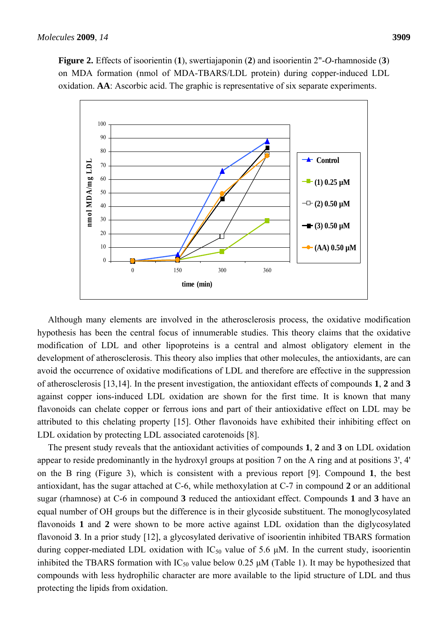**Figure 2.** Effects of isoorientin (**1**), swertiajaponin (**2**) and isoorientin 2"-*O*-rhamnoside (**3**) on MDA formation (nmol of MDA-TBARS/LDL protein) during copper-induced LDL oxidation. **AA**: Ascorbic acid. The graphic is representative of six separate experiments.



Although many elements are involved in the atherosclerosis process, the oxidative modification hypothesis has been the central focus of innumerable studies. This theory claims that the oxidative modification of LDL and other lipoproteins is a central and almost obligatory element in the development of atherosclerosis. This theory also implies that other molecules, the antioxidants, are can avoid the occurrence of oxidative modifications of LDL and therefore are effective in the suppression of atherosclerosis [13,14]. In the present investigation, the antioxidant effects of compounds **1**, **2** and **3** against copper ions-induced LDL oxidation are shown for the first time. It is known that many flavonoids can chelate copper or ferrous ions and part of their antioxidative effect on LDL may be attributed to this chelating property [15]. Other flavonoids have exhibited their inhibiting effect on LDL oxidation by protecting LDL associated carotenoids [8].

The present study reveals that the antioxidant activities of compounds **1**, **2** and **3** on LDL oxidation appear to reside predominantly in the hydroxyl groups at position 7 on the A ring and at positions 3', 4' on the B ring (Figure 3), which is consistent with a previous report [9]. Compound **1**, the best antioxidant, has the sugar attached at C-6, while methoxylation at C-7 in compound **2** or an additional sugar (rhamnose) at C-6 in compound **3** reduced the antioxidant effect. Compounds **1** and **3** have an equal number of OH groups but the difference is in their glycoside substituent. The monoglycosylated flavonoids **1** and **2** were shown to be more active against LDL oxidation than the diglycosylated flavonoid **3**. In a prior study [12], a glycosylated derivative of isoorientin inhibited TBARS formation during copper-mediated LDL oxidation with  $IC_{50}$  value of 5.6  $\mu$ M. In the current study, isoorientin inhibited the TBARS formation with  $IC_{50}$  value below 0.25  $\mu$ M (Table 1). It may be hypothesized that compounds with less hydrophilic character are more available to the lipid structure of LDL and thus protecting the lipids from oxidation.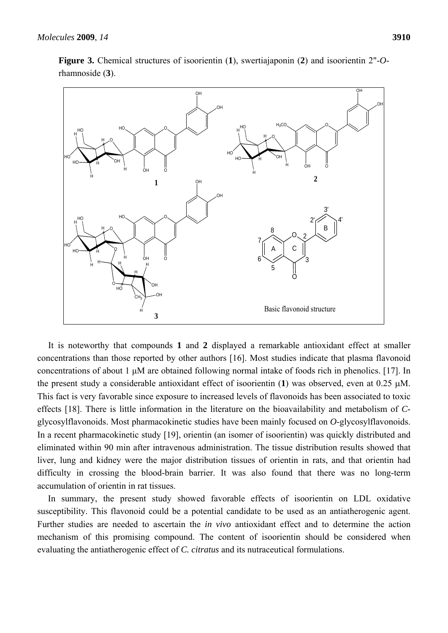

**Figure 3.** Chemical structures of isoorientin (**1**), swertiajaponin (**2**) and isoorientin 2"-*O*rhamnoside (**3**).

It is noteworthy that compounds **1** and **2** displayed a remarkable antioxidant effect at smaller concentrations than those reported by other authors [16]. Most studies indicate that plasma flavonoid concentrations of about 1 μM are obtained following normal intake of foods rich in phenolics. [17]. In the present study a considerable antioxidant effect of isoorientin (**1**) was observed, even at 0.25 μM. This fact is very favorable since exposure to increased levels of flavonoids has been associated to toxic effects [18]. There is little information in the literature on the bioavailability and metabolism of *C*glycosylflavonoids. Most pharmacokinetic studies have been mainly focused on *O*-glycosylflavonoids. In a recent pharmacokinetic study [19], orientin (an isomer of isoorientin) was quickly distributed and eliminated within 90 min after intravenous administration. The tissue distribution results showed that liver, lung and kidney were the major distribution tissues of orientin in rats, and that orientin had difficulty in crossing the blood-brain barrier. It was also found that there was no long-term accumulation of orientin in rat tissues.

In summary, the present study showed favorable effects of isoorientin on LDL oxidative susceptibility. This flavonoid could be a potential candidate to be used as an antiatherogenic agent. Further studies are needed to ascertain the *in vivo* antioxidant effect and to determine the action mechanism of this promising compound. The content of isoorientin should be considered when evaluating the antiatherogenic effect of *C. citratus* and its nutraceutical formulations.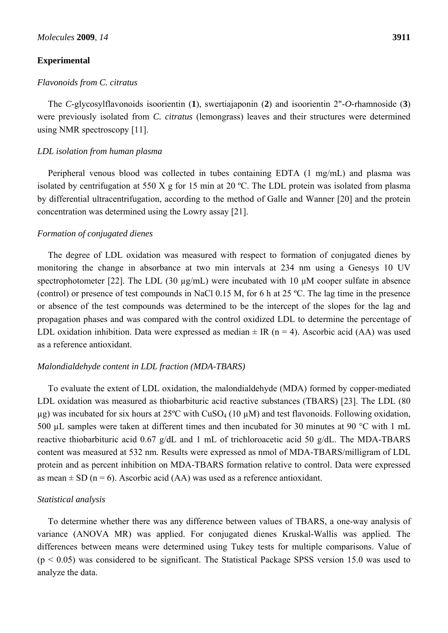### **Experimental**

#### *Flavonoids from C. citratus*

The *C*-glycosylflavonoids isoorientin (**1**), swertiajaponin (**2**) and isoorientin 2"-*O*-rhamnoside (**3**) were previously isolated from *C. citratus* (lemongrass) leaves and their structures were determined using NMR spectroscopy [11].

### *LDL isolation from human plasma*

Peripheral venous blood was collected in tubes containing EDTA (1 mg/mL) and plasma was isolated by centrifugation at 550 X g for 15 min at 20 ºC. The LDL protein was isolated from plasma by differential ultracentrifugation, according to the method of Galle and Wanner [20] and the protein concentration was determined using the Lowry assay [21].

#### *Formation of conjugated dienes*

The degree of LDL oxidation was measured with respect to formation of conjugated dienes by monitoring the change in absorbance at two min intervals at 234 nm using a Genesys 10 UV spectrophotometer [22]. The LDL (30 µg/mL) were incubated with 10 μM cooper sulfate in absence (control) or presence of test compounds in NaCl 0.15 M, for 6 h at 25 ºC. The lag time in the presence or absence of the test compounds was determined to be the intercept of the slopes for the lag and propagation phases and was compared with the control oxidized LDL to determine the percentage of LDL oxidation inhibition. Data were expressed as median  $\pm$  IR (n = 4). Ascorbic acid (AA) was used as a reference antioxidant.

#### *Malondialdehyde content in LDL fraction (MDA-TBARS)*

To evaluate the extent of LDL oxidation, the malondialdehyde (MDA) formed by copper-mediated LDL oxidation was measured as thiobarbituric acid reactive substances (TBARS) [23]. The LDL (80  $\mu$ g) was incubated for six hours at 25°C with CuSO<sub>4</sub> (10  $\mu$ M) and test flavonoids. Following oxidation, 500 µL samples were taken at different times and then incubated for 30 minutes at 90 °C with 1 mL reactive thiobarbituric acid 0.67 g/dL and 1 mL of trichloroacetic acid 50 g/dL. The MDA-TBARS content was measured at 532 nm. Results were expressed as nmol of MDA-TBARS/milligram of LDL protein and as percent inhibition on MDA-TBARS formation relative to control. Data were expressed as mean  $\pm$  SD (n = 6). Ascorbic acid (AA) was used as a reference antioxidant.

#### *Statistical analysis*

To determine whether there was any difference between values of TBARS, a one-way analysis of variance (ANOVA MR) was applied. For conjugated dienes Kruskal-Wallis was applied. The differences between means were determined using Tukey tests for multiple comparisons. Value of  $(p < 0.05)$  was considered to be significant. The Statistical Package SPSS version 15.0 was used to analyze the data.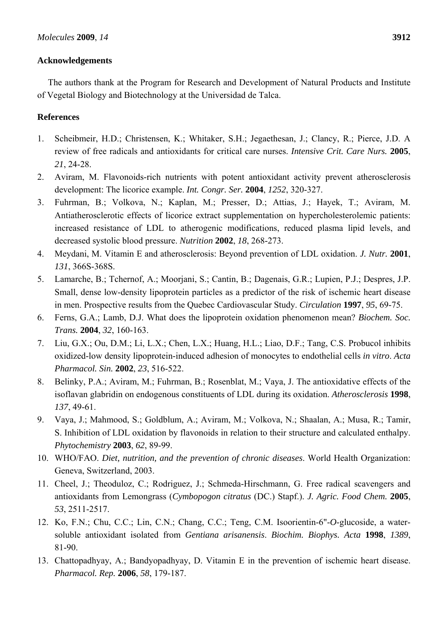## **Acknowledgements**

The authors thank at the Program for Research and Development of Natural Products and Institute of Vegetal Biology and Biotechnology at the Universidad de Talca.

# **References**

- 1. Scheibmeir, H.D.; Christensen, K.; Whitaker, S.H.; Jegaethesan, J.; Clancy, R.; Pierce, J.D. A review of free radicals and antioxidants for critical care nurses. *Intensive Crit. Care Nurs.* **2005**, *21*, 24-28.
- 2. Aviram, M. Flavonoids-rich nutrients with potent antioxidant activity prevent atherosclerosis development: The licorice example. *Int. Congr. Ser.* **2004**, *1252*, 320-327.
- 3. Fuhrman, B.; Volkova, N.; Kaplan, M.; Presser, D.; Attias, J.; Hayek, T.; Aviram, M. Antiatherosclerotic effects of licorice extract supplementation on hypercholesterolemic patients: increased resistance of LDL to atherogenic modifications, reduced plasma lipid levels, and decreased systolic blood pressure. *Nutrition* **2002**, *18*, 268-273.
- 4. Meydani, M. Vitamin E and atherosclerosis: Beyond prevention of LDL oxidation. *J. Nutr.* **2001**, *131*, 366S-368S.
- 5. Lamarche, B.; Tchernof, A.; Moorjani, S.; Cantin, B.; Dagenais, G.R.; Lupien, P.J.; Despres, J.P. Small, dense low-density lipoprotein particles as a predictor of the risk of ischemic heart disease in men. Prospective results from the Quebec Cardiovascular Study. *Circulation* **1997**, *95*, 69-75.
- 6. Ferns, G.A.; Lamb, D.J. What does the lipoprotein oxidation phenomenon mean? *Biochem. Soc. Trans.* **2004**, *32*, 160-163.
- 7. Liu, G.X.; Ou, D.M.; Li, L.X.; Chen, L.X.; Huang, H.L.; Liao, D.F.; Tang, C.S. Probucol inhibits oxidized-low density lipoprotein-induced adhesion of monocytes to endothelial cells *in vitro*. *Acta Pharmacol. Sin.* **2002**, *23*, 516-522.
- 8. Belinky, P.A.; Aviram, M.; Fuhrman, B.; Rosenblat, M.; Vaya, J. The antioxidative effects of the isoflavan glabridin on endogenous constituents of LDL during its oxidation. *Atherosclerosis* **1998**, *137*, 49-61.
- 9. Vaya, J.; Mahmood, S.; Goldblum, A.; Aviram, M.; Volkova, N.; Shaalan, A.; Musa, R.; Tamir, S. Inhibition of LDL oxidation by flavonoids in relation to their structure and calculated enthalpy. *Phytochemistry* **2003**, *62*, 89-99.
- 10. WHO/FAO. *Diet, nutrition, and the prevention of chronic diseases*. World Health Organization: Geneva, Switzerland, 2003.
- 11. Cheel, J.; Theoduloz, C.; Rodriguez, J.; Schmeda-Hirschmann, G. Free radical scavengers and antioxidants from Lemongrass (*Cymbopogon citratus* (DC.) Stapf.). *J. Agric. Food Chem.* **2005**, *53*, 2511-2517.
- 12. Ko, F.N.; Chu, C.C.; Lin, C.N.; Chang, C.C.; Teng, C.M. Isoorientin-6"-*O*-glucoside, a watersoluble antioxidant isolated from *Gentiana arisanensis*. *Biochim. Biophys. Acta* **1998**, *1389*, 81-90.
- 13. Chattopadhyay, A.; Bandyopadhyay, D. Vitamin E in the prevention of ischemic heart disease. *Pharmacol. Rep.* **2006**, *58*, 179-187.